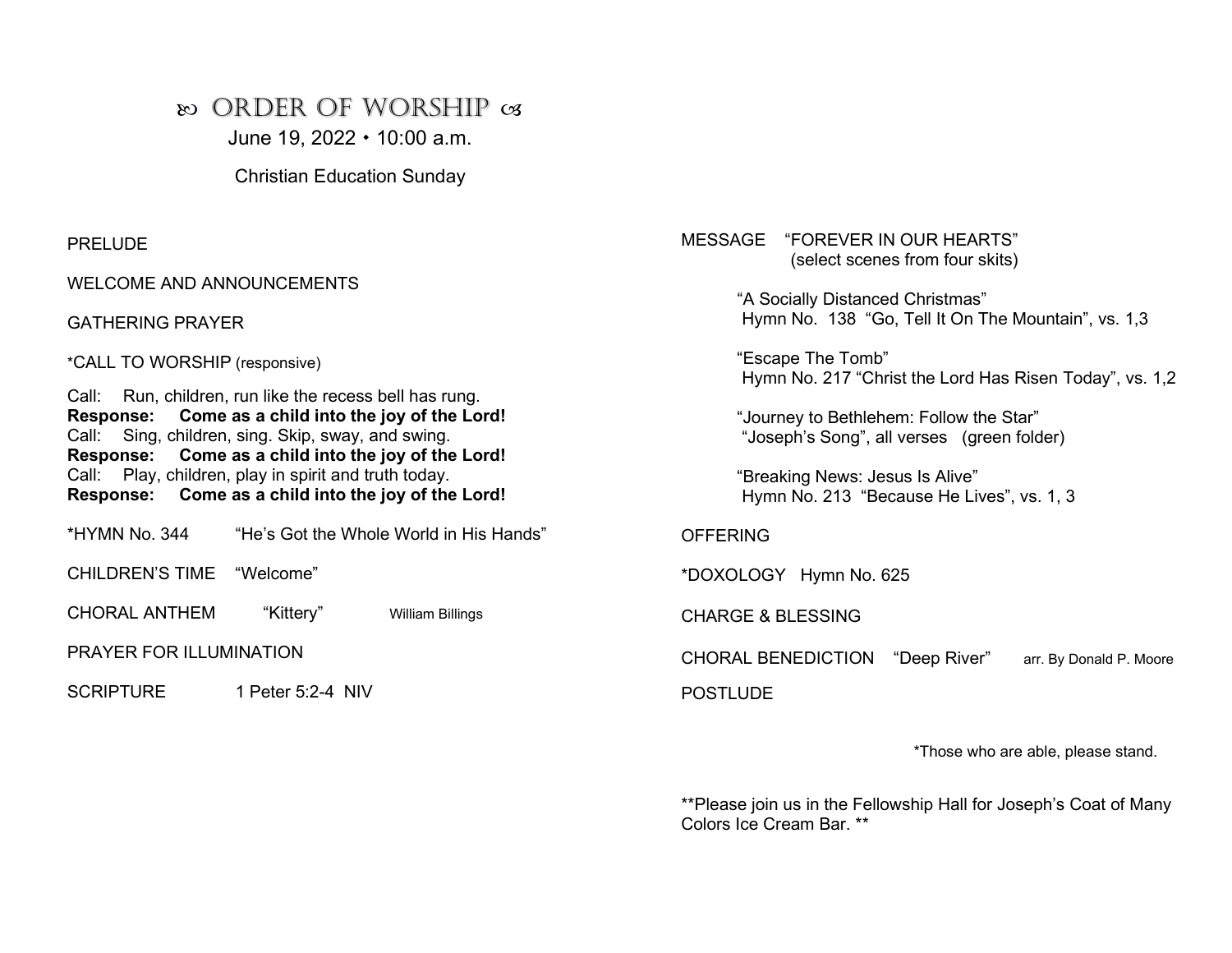# $\infty$  ORDER OF WORSHIP  $\infty$

June 19, 2022  $\cdot$  10:00 a.m.

Christian Education Sunday

PRELUDE

WELCOME AND ANNOUNCEMENTS

GATHERING PRAYER

\*CALL TO WORSHIP (responsive)

Call: Run, children, run like the recess bell has rung. Response: Come as a child into the joy of the Lord! Call: Sing, children, sing. Skip, sway, and swing. Response: Come as a child into the joy of the Lord! Call: Play, children, play in spirit and truth today. Response: Come as a child into the joy of the Lord!

\*HYMN No. 344 "He's Got the Whole World in His Hands"

CHILDREN'S TIME "Welcome"

CHORAL ANTHEM "Kittery" William Billings

PRAYER FOR ILLUMINATION

SCRIPTURE 1 Peter 5:2-4 NIV

### MESSAGE "FOREVER IN OUR HEARTS" (select scenes from four skits)

"A Socially Distanced Christmas" Hymn No. 138 "Go, Tell It On The Mountain", vs. 1,3

 "Escape The Tomb" Hymn No. 217 "Christ the Lord Has Risen Today", vs. 1,2

 "Journey to Bethlehem: Follow the Star" "Joseph's Song", all verses (green folder)

 "Breaking News: Jesus Is Alive" Hymn No. 213 "Because He Lives", vs. 1, 3

### **OFFERING**

\*DOXOLOGY Hymn No. 625

CHARGE & BLESSING

CHORAL BENEDICTION "Deep River" arr. By Donald P. Moore

### POSTLUDE

\*Those who are able, please stand.

\*\*Please join us in the Fellowship Hall for Joseph's Coat of Many Colors Ice Cream Bar. \*\*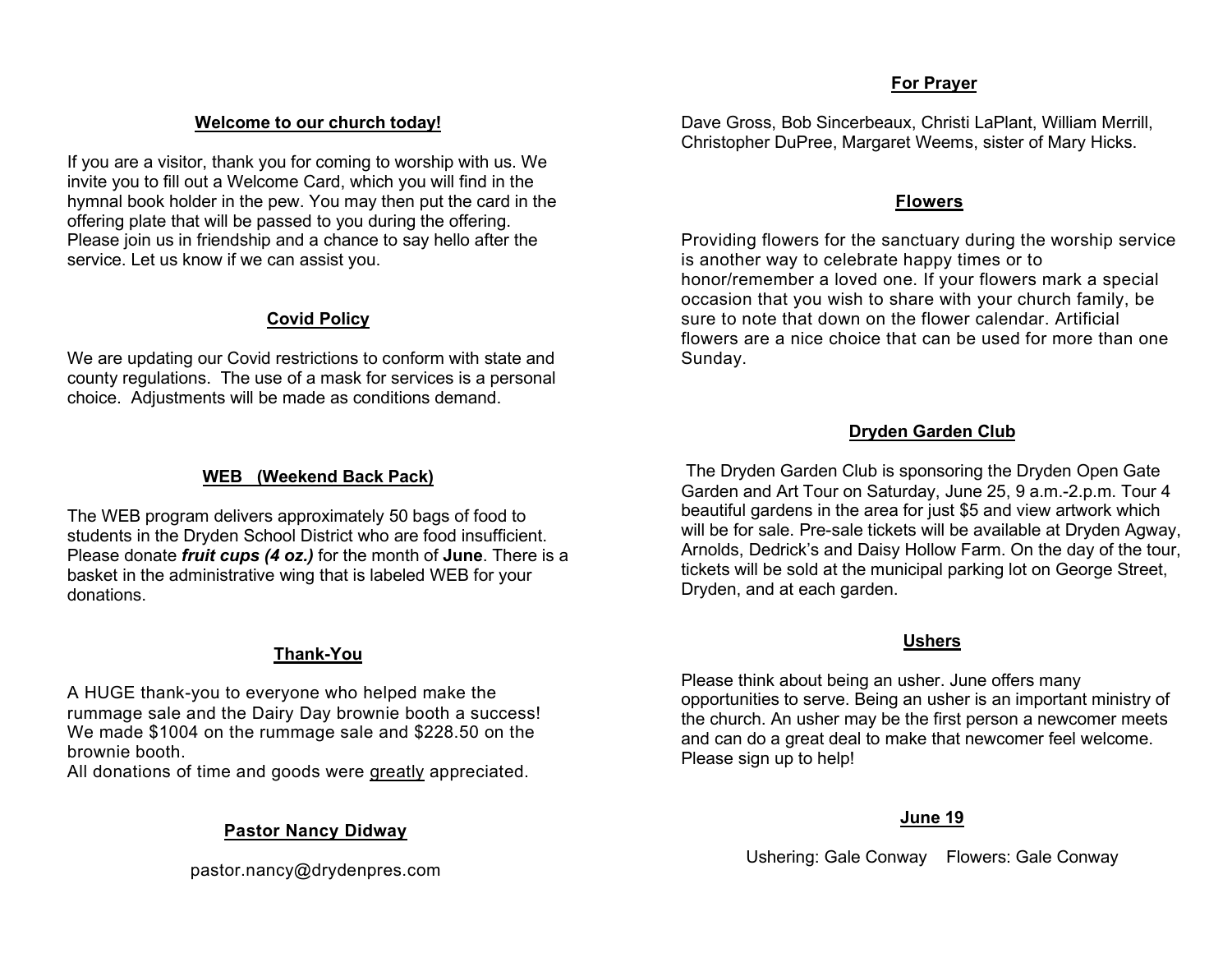### Welcome to our church today!

If you are a visitor, thank you for coming to worship with us. We invite you to fill out a Welcome Card, which you will find in the hymnal book holder in the pew. You may then put the card in the offering plate that will be passed to you during the offering. Please join us in friendship and a chance to say hello after the service. Let us know if we can assist you.

### Covid Policy

We are updating our Covid restrictions to conform with state and county regulations. The use of a mask for services is a personal choice. Adjustments will be made as conditions demand.

## WEB (Weekend Back Pack)

The WEB program delivers approximately 50 bags of food to students in the Dryden School District who are food insufficient. Please donate *fruit cups (4 oz.)* for the month of June. There is a basket in the administrative wing that is labeled WEB for your donations.

## Thank-You

A HUGE thank-you to everyone who helped make the rummage sale and the Dairy Day brownie booth a success! We made \$1004 on the rummage sale and \$228.50 on the brownie booth.

All donations of time and goods were greatly appreciated.

## Pastor Nancy Didway

pastor.nancy@drydenpres.com

## For Prayer

Dave Gross, Bob Sincerbeaux, Christi LaPlant, William Merrill, Christopher DuPree, Margaret Weems, sister of Mary Hicks.

## Flowers

Providing flowers for the sanctuary during the worship service is another way to celebrate happy times or to honor/remember a loved one. If your flowers mark a special occasion that you wish to share with your church family, be sure to note that down on the flower calendar. Artificial flowers are a nice choice that can be used for more than one Sunday.

## Dryden Garden Club

The Dryden Garden Club is sponsoring the Dryden Open Gate Garden and Art Tour on Saturday, June 25, 9 a.m.-2.p.m. Tour 4 beautiful gardens in the area for just \$5 and view artwork which will be for sale. Pre-sale tickets will be available at Dryden Agway, Arnolds, Dedrick's and Daisy Hollow Farm. On the day of the tour, tickets will be sold at the municipal parking lot on George Street, Dryden, and at each garden.

## Ushers

Please think about being an usher. June offers many opportunities to serve. Being an usher is an important ministry of the church. An usher may be the first person a newcomer meets and can do a great deal to make that newcomer feel welcome. Please sign up to help!

## June 19

Ushering: Gale Conway Flowers: Gale Conway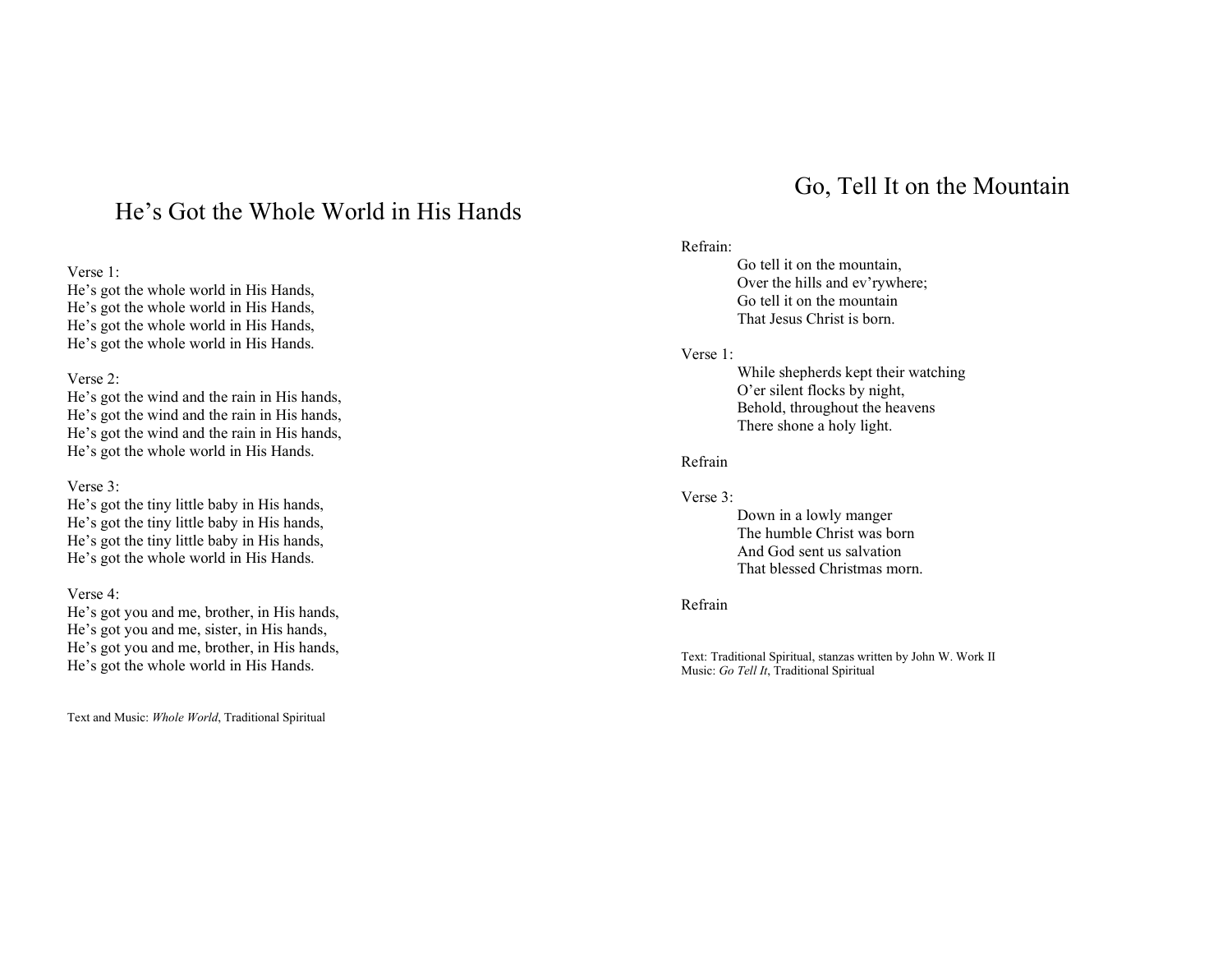## He's Got the Whole World in His Hands

#### Verse 1:

He's got the whole world in His Hands, He's got the whole world in His Hands, He's got the whole world in His Hands, He's got the whole world in His Hands.

#### Verse 2:

He's got the wind and the rain in His hands, He's got the wind and the rain in His hands, He's got the wind and the rain in His hands, He's got the whole world in His Hands.

#### Verse 3:

He's got the tiny little baby in His hands, He's got the tiny little baby in His hands, He's got the tiny little baby in His hands, He's got the whole world in His Hands.

#### Verse 4:

He's got you and me, brother, in His hands, He's got you and me, sister, in His hands, He's got you and me, brother, in His hands, He's got the whole world in His Hands.

Text and Music: Whole World, Traditional Spiritual

## Go, Tell It on the Mountain

#### Refrain:

Go tell it on the mountain, Over the hills and ev'rywhere; Go tell it on the mountain That Jesus Christ is born.

#### Verse 1:

While shepherds kept their watching O'er silent flocks by night, Behold, throughout the heavens There shone a holy light.

#### Refrain

#### Verse 3:

Down in a lowly manger The humble Christ was born And God sent us salvation That blessed Christmas morn.

#### Refrain

Text: Traditional Spiritual, stanzas written by John W. Work II Music: Go Tell It, Traditional Spiritual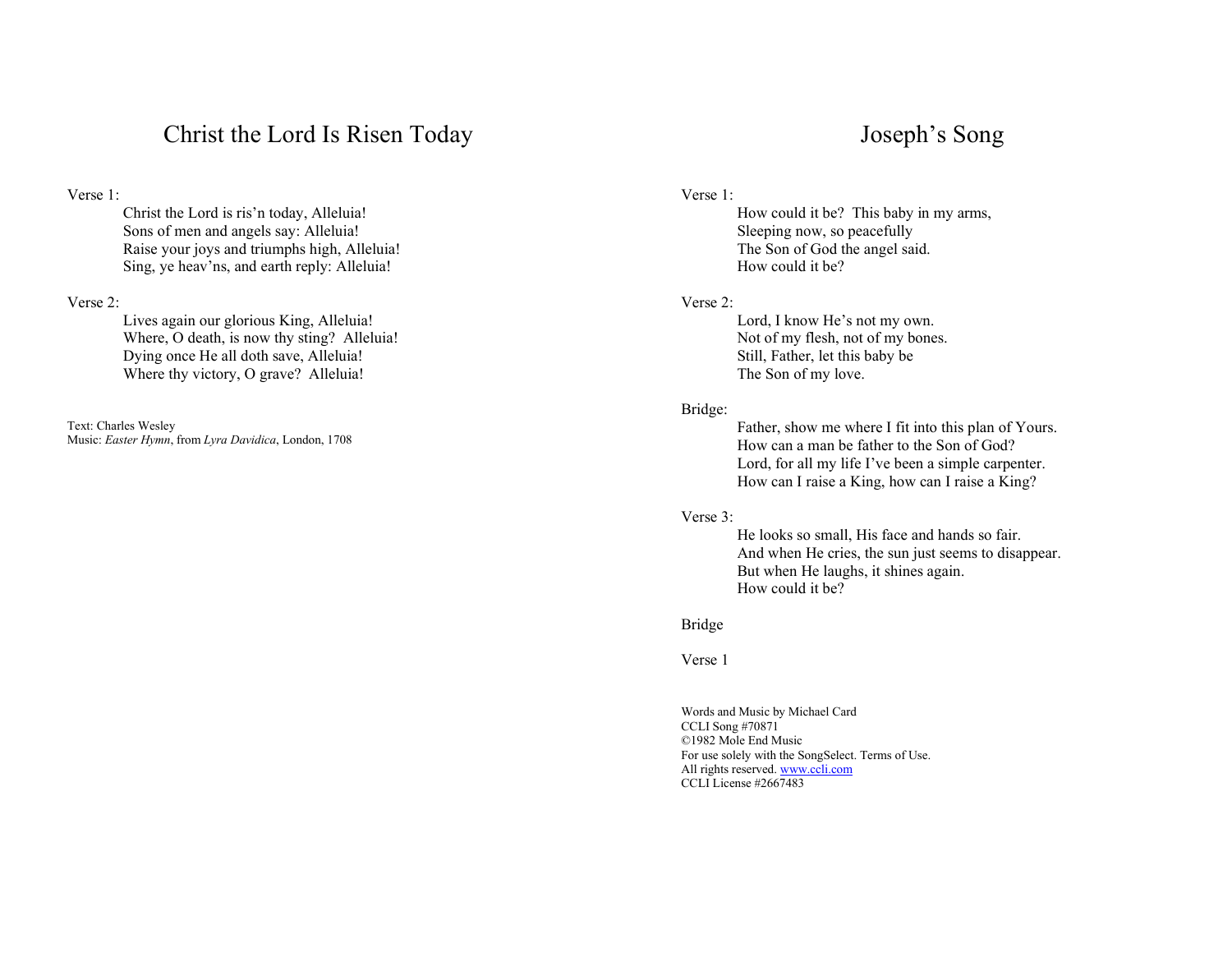## Christ the Lord Is Risen Today

#### Verse 1:

Christ the Lord is ris'n today, Alleluia! Sons of men and angels say: Alleluia! Raise your joys and triumphs high, Alleluia! Sing, ye heav'ns, and earth reply: Alleluia!

#### Verse 2:

Lives again our glorious King, Alleluia! Where, O death, is now thy sting? Alleluia! Dying once He all doth save, Alleluia! Where thy victory, O grave? Alleluia!

Text: Charles Wesley Music: Easter Hymn, from Lyra Davidica, London, 1708

## Joseph's Song

#### Verse 1:

How could it be? This baby in my arms, Sleeping now, so peacefully The Son of God the angel said. How could it be?

#### Verse 2:

Lord, I know He's not my own. Not of my flesh, not of my bones. Still, Father, let this baby be The Son of my love.

#### Bridge:

Father, show me where I fit into this plan of Yours. How can a man be father to the Son of God? Lord, for all my life I've been a simple carpenter. How can I raise a King, how can I raise a King?

#### Verse 3:

He looks so small, His face and hands so fair. And when He cries, the sun just seems to disappear. But when He laughs, it shines again. How could it be?

#### Bridge

#### Verse 1

Words and Music by Michael Card CCLI Song #70871 ©1982 Mole End Music For use solely with the SongSelect. Terms of Use. All rights reserved. www.ccli.com CCLI License #2667483